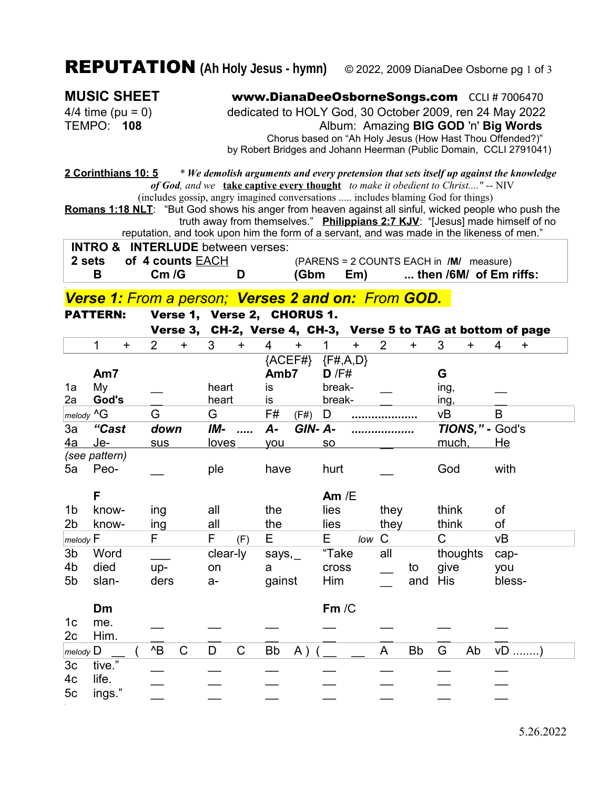## REPUTATION **(Ah Holy Jesus - hymn)** © 2022, 2009 DianaDee Osborne pg 1 of <sup>3</sup>

.

**MUSIC SHEET** www.DianaDeeOsborneSongs.com CCLI # 7006470 4/4 time (pu = 0) dedicated to HOLY God, 30 October 2009, ren 24 May 2022 TEMPO: **108** Album: Amazing **BIG GOD** 'n' **Big Words** Chorus based on "Ah Holy Jesus (How Hast Thou Offended?)" by Robert Bridges and Johann Heerman (Public Domain, CCLI 2791041)

**2 Corinthians 10: 5** *\* We demolish arguments and every pretension that sets itself up against the knowledge of God, and we* **take captive every thought** *to make it obedient to Christ...."* -- NIV

(includes gossip, angry imagined conversations ..... includes blaming God for things) **Romans 1:18 NLT**: "But God shows his anger from heaven against all sinful, wicked people who push the truth away from themselves." **Philippians 2:7 KJV**: "[Jesus] made himself of no reputation, and took upon him the form of a servant, and was made in the likeness of men."

**INTRO & INTERLUDE** between verses:

 **2 sets of 4 counts** EACH (PARENS = 2 COUNTS EACH in **/M/** measure)

**B Cm /G D (Gbm Em) ... then /6M/ of Em riffs:**

*Verse 1: From a person; Verses 2 and on: From GOD.* 

PATTERN: Verse 1, Verse 2, CHORUS 1. Verse 3, CH-2, Verse 4, CH-3, Verse 5 to TAG at bottom of page 1 + 2 + 3 + 4 + 1 + 2 + 3 + 4 +  ${ACEF#}$   ${F#, A, D}$ **Am7 Amb7 D** /F# **G** 1a My  $\qquad \qquad$  heart is break-  $\qquad \qquad$  ing,  $\qquad \qquad$ 2a **God's** \_\_ heart is break- \_\_ ing, \_\_ *melody* ^G G G F# (F#) D **....................** vB B 3a *"Cast down IM- ..... A- GIN- A- ................... TIONS," -* God's <u>4a Je- sus loves you so much, He</u> *(see pattern)* 5a Peo- \_\_ ple have hurt \_\_ God with **F Am** /E 1b know- ing all the lies they think of 2b know- ing all the lies they think of *melody* F F F (F) E E *low* C C vB 3b Word \_\_\_ clear-ly says,\_ "Take all thoughts cap-4b died up- on a cross \_\_ to give you 5b slan- ders a- gainst Him \_\_ and His bless-**Dm Fm** /C 1c me. \_\_ \_ \_ \_ \_ \_ \_ \_ \_ \_ \_ 2c Him. \_\_ \_\_ \_\_ \_\_ \_\_ \_\_ \_\_ *melody* D \_\_ ( ^B C D C Bb A ) ( \_\_ \_\_ A Bb G Ab vD ........) 3c tive." \_\_ \_\_ \_\_ \_\_ \_\_ \_\_ \_\_ 4c life. \_\_ \_\_ \_\_ \_\_ \_\_ \_\_ \_\_ 5c ings." \_\_ \_\_ \_\_ \_\_ \_\_ \_\_ \_\_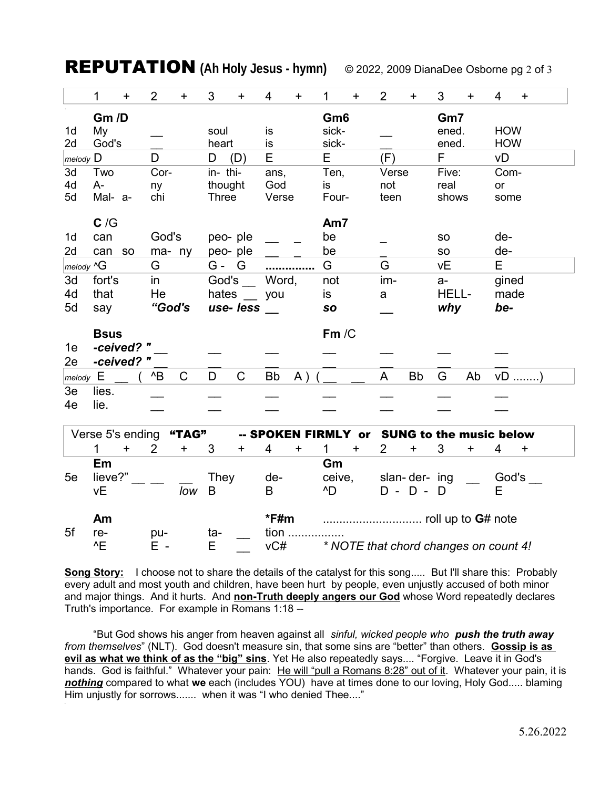**REPUTATION** (Ah Holy Jesus - hymn)

© 2022, 2009 DianaDee Osborne pg 2 of 3

|               | 1                | $\ddot{}$  | $\overline{2}$ | $\ddot{}$    | 3           | $\ddot{}$   | 4           | $\ddot{}$           | 1      | $\ddot{}$ | $\overline{2}$ | $\ddot{}$                             | 3         | $\ddot{}$ | 4          | $\ddot{}$  |
|---------------|------------------|------------|----------------|--------------|-------------|-------------|-------------|---------------------|--------|-----------|----------------|---------------------------------------|-----------|-----------|------------|------------|
|               | Gm /D            |            |                |              |             |             |             | Gm <sub>6</sub>     |        |           |                |                                       | Gm7       |           |            |            |
| 1d            | My               |            |                |              | soul        |             | is          |                     | sick-  |           |                |                                       | ened.     |           | <b>HOW</b> |            |
| 2d            | God's            |            |                |              | heart       |             | is          |                     | sick-  |           |                |                                       | ened.     |           | <b>HOW</b> |            |
| $m$ elody $D$ |                  |            | D              |              | D           | (D)         | E           |                     | E      |           | (F)            |                                       | F         |           | νD         |            |
| 3d            | Two              |            | Cor-           |              | in-thi-     |             | ans,        |                     | Ten,   |           | Verse          |                                       | Five:     |           | Com-       |            |
| 4d            | A-               |            | ny             |              | thought     |             | God         |                     | is     |           | not            |                                       | real      |           | or         |            |
| 5d            | Mal- a-<br>chi   |            | <b>Three</b>   |              | Verse       |             | Four-       |                     | teen   |           | shows          |                                       | some      |           |            |            |
|               | C/G              |            |                |              |             |             |             |                     | Am7    |           |                |                                       |           |           |            |            |
| 1d            | can              |            | God's          |              |             | peo-ple     |             |                     | be     |           |                |                                       | <b>SO</b> |           | de-        |            |
| 2d            | can              | <b>SO</b>  | ma- ny         |              |             | peo-ple     |             |                     | be     |           |                |                                       | <b>SO</b> |           | de-        |            |
| melody ^G     |                  |            | G              |              | G- G        |             |             |                     | G      |           | G              |                                       | <b>vE</b> |           | E          |            |
| 3d            | fort's           |            | in             |              | God's       |             | Word,       |                     | not    |           | im-            |                                       | $a-$      |           | gined      |            |
| 4d            | He<br>that       |            | hates          |              | you         |             | is          |                     | a      |           | <b>HELL-</b>   |                                       | made      |           |            |            |
| 5d            | "God's<br>say    |            | use- less      |              |             |             |             | <b>SO</b>           |        |           |                | why                                   |           | be-       |            |            |
|               |                  |            |                |              |             |             |             |                     |        |           |                |                                       |           |           |            |            |
|               | <b>Bsus</b>      |            |                |              |             |             |             |                     |        |           |                |                                       |           |           |            |            |
|               |                  |            |                |              |             |             |             |                     | Fm/C   |           |                |                                       |           |           |            |            |
| 1e            | -ceived? "       |            |                |              |             |             |             |                     |        |           |                |                                       |           |           |            |            |
| 2e            |                  | -ceived? " |                |              |             |             |             |                     |        |           |                |                                       |           |           |            |            |
| $m$ elody $E$ |                  |            | $^{\wedge}B$   | $\mathsf{C}$ | D           | $\mathsf C$ | <b>Bb</b>   | A)                  |        |           | A              | <b>Bb</b>                             | G         | Ab        |            | vD )       |
| 3e            | lies.            |            |                |              |             |             |             |                     |        |           |                |                                       |           |           |            |            |
| 4e            | lie.             |            |                |              |             |             |             |                     |        |           |                |                                       |           |           |            |            |
|               |                  |            |                |              |             |             |             |                     |        |           |                |                                       |           |           |            |            |
|               | Verse 5's ending |            |                | "TAG"        |             |             |             | -- SPOKEN FIRMLY or |        |           |                | <b>SUNG to the music below</b>        |           |           |            |            |
|               | $\mathbf{1}$     | $\ddot{}$  | $\overline{2}$ | $\ddagger$   | 3           | ٠           | 4           | +                   | 1      | $\ddot{}$ | $\overline{2}$ | $\ddot{}$                             | 3         | +         | 4          | $\ddagger$ |
|               | Em               |            |                |              |             |             |             |                     | Gm     |           |                |                                       |           |           |            |            |
| 5e            | lieve?"          |            |                |              | <b>They</b> |             | de-         |                     | ceive, |           |                | slan-der- ing                         |           |           | God's      |            |
|               | νE               |            |                | low          | B           |             | B           |                     | ^D     |           |                | $D - D -$                             | D         |           | Е          |            |
|               |                  |            |                |              |             |             |             |                     |        |           |                |                                       |           |           |            |            |
|               | Am               |            |                |              |             |             | $*$ F#m     |                     |        |           |                |                                       |           |           |            |            |
| 5f            | re-<br>E         |            | pu-<br>E -     |              | ta-<br>E    |             | tion<br>vC# |                     |        |           |                | * NOTE that chord changes on count 4! |           |           |            |            |

Song Story: I choose not to share the details of the catalyst for this song..... But I'll share this: Probably every adult and most youth and children, have been hurt by people, even unjustly accused of both minor and major things. And it hurts. And non-Truth deeply angers our God whose Word repeatedly declares Truth's importance. For example in Romans 1:18 --

"But God shows his anger from heaven against all sinful, wicked people who push the truth away from themselves" (NLT). God doesn't measure sin, that some sins are "better" than others. Gossip is as evil as what we think of as the "big" sins. Yet He also repeatedly says.... "Forgive. Leave it in God's hands. God is faithful." Whatever your pain: He will "pull a Romans 8:28" out of it. Whatever your pain, it is nothing compared to what we each (includes YOU) have at times done to our loving, Holy God..... blaming Him unjustly for sorrows....... when it was "I who denied Thee...."